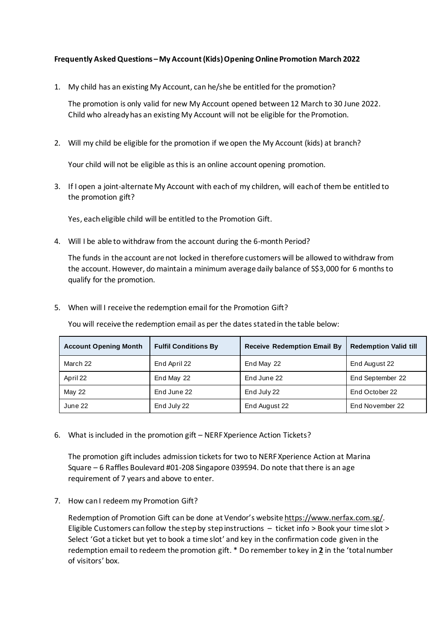## **Frequently Asked Questions – My Account (Kids) Opening Online Promotion March 2022**

1. My child has an existing My Account, can he/she be entitled for the promotion?

The promotion is only valid for new My Account opened between 12 March to 30 June 2022. Child who already has an existing My Account will not be eligible for the Promotion.

2. Will my child be eligible for the promotion if we open the My Account (kids) at branch?

Your child will not be eligible as this is an online account opening promotion.

3. If I open a joint-alternate My Account with each of my children, will each of them be entitled to the promotion gift?

Yes, each eligible child will be entitled to the Promotion Gift.

4. Will I be able to withdraw from the account during the 6-month Period?

The funds in the account are not locked in therefore customers will be allowed to withdraw from the account. However, do maintain a minimum average daily balance of S\$3,000 for 6 months to qualify for the promotion.

5. When will I receive the redemption email for the Promotion Gift?

You will receive the redemption email as per the dates stated in the table below:

| <b>Account Opening Month</b> | <b>Fulfil Conditions By</b> | <b>Receive Redemption Email By</b> | <b>Redemption Valid till</b> |
|------------------------------|-----------------------------|------------------------------------|------------------------------|
| March 22                     | End April 22                | End May 22                         | End August 22                |
| April 22                     | End May 22                  | End June 22                        | End September 22             |
| May 22                       | End June 22                 | End July 22                        | End October 22               |
| June 22                      | End July 22                 | End August 22                      | End November 22              |

6. What is included in the promotion gift – NERF Xperience Action Tickets?

The promotion gift includes admission tickets for two to NERF Xperience Action at Marina Square – 6 Raffles Boulevard #01-208 Singapore 039594. Do note that there is an age requirement of 7 years and above to enter.

7. How can I redeem my Promotion Gift?

Redemption of Promotion Gift can be done at Vendor's websit[e https://www.nerfax.com.sg/](https://www.nerfax.com.sg/). Eligible Customers can follow the step by step instructions – ticket info > Book your time slot > Select 'Got a ticket but yet to book a time slot' and key in the confirmation code given in the redemption email to redeem the promotion gift. \* Do remember to key in **2** in the 'total number of visitors' box.